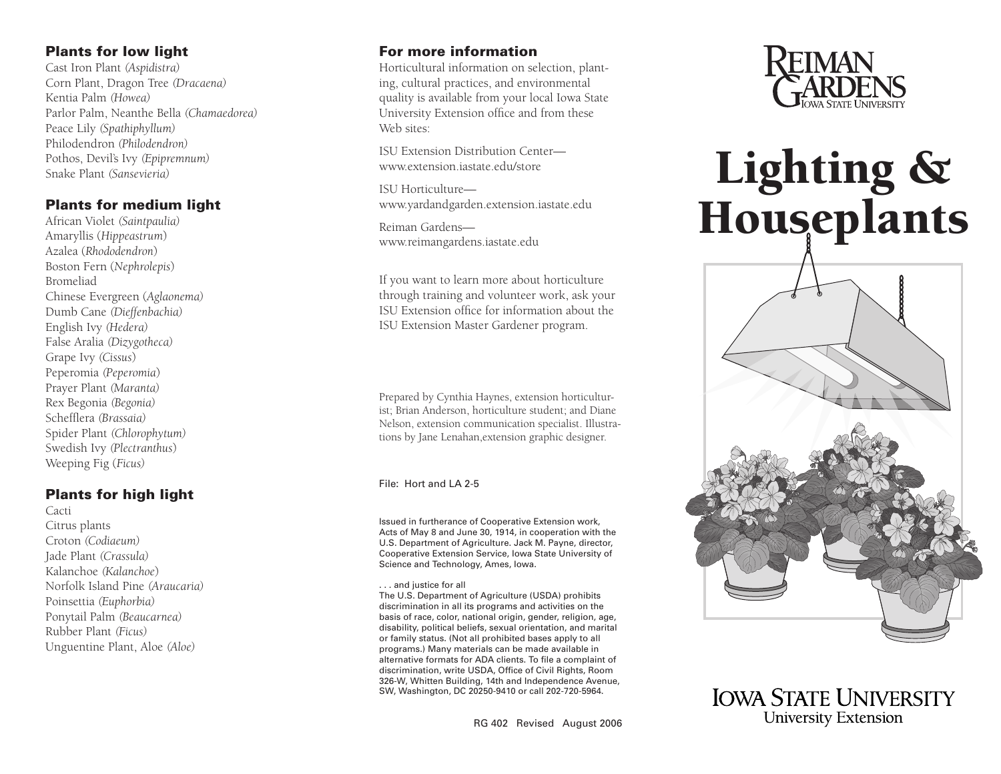## Plants for low light

Cast Iron Plant *(Aspidistra)*  Corn Plant, Dragon Tree *(Dracaena)* Kentia Palm *(Howea)* Parlor Palm, Neanthe Bella *(Chamaedorea)*  Peace Lily *(Spathiphyllum)* Philodendron *(Philodendron)*  Pothos, Devil's Ivy *(Epipremnum)* Snake Plant *(Sansevieria)*

## Plants for medium light

African Violet *(Saintpaulia)* Amaryllis (*Hippeastrum* ) Azalea (*Rhododendron* ) Boston Fern (*Nephrolepis* ) Bromeliad Chinese Evergreen (*Aglaonema)*  Dumb Cane *(Dieffenbachia)* English Ivy *(Hedera)* False Aralia *(Dizygotheca)* Grape Ivy *(Cissus* ) Peperomia *(Peperomia* ) Prayer Plant *(Maranta)* Rex Begonia *(Begonia)* Schefflera *(Brassaia)* Spider Plant *(Chlorophytum)* Swedish Ivy *(Plectranthus*) Weeping Fig (*Ficus)*

## Plants for high light

Cacti Citrus plants Croton *(Codiaeum)*  Jade Plant *(Crassula)* Kalanchoe *(Kalanchoe* ) Norfolk Island Pine *(Araucaria)* Poinsettia *(Euphorbia)* Ponytail Palm *(Beaucarnea)* Rubber Plant *(Ficus)* Unguentine Plant, Aloe *(Aloe)*

## For more information

Horticultural information on selection, plant ing, cultural practices, and environmental quality is available from your local Iowa State University Extension office and from these Web sites:

[ISU Extension Distribution Center](http://www.extension.iatate.edu/store)  www.extension.iastate.edu/store

ISU Horticulture [www.yardandgarden.extension.iastate.edu](http://www.yardandgarden.extension.iastate.edu)

Reiman Gardens [www.reimangardens.iastate.edu](http://www.reimangardens.iastate.edu)

If you want to learn more about horticulture through training and volunteer work, ask your ISU Extension office for information about the ISU Extension Master Gardener program.

Prepared by Cynthia Haynes, extension horticulturist; Brian Anderson, horticulture student; and Diane Nelson, extension communication specialist. Illustra tions by Jane Lenahan,extension graphic designer.

#### File: Hort and LA 2-5

Issued in furtherance of Cooperative Extension work, Acts of May 8 and June 30, 1914, in cooperation with the U.S. Department of Agriculture. Jack M. Payne, director, Cooperative Extension Service, Iowa State University of Science and Technology, Ames, Iowa.

... and justice for all

The U.S. Department of Agriculture (USDA) prohibits discrimination in all its programs and activities on the basis of race, color, national origin, gender, religion, age, disability, political beliefs, sexual orientation, and marital or family status. (Not all prohibited bases apply to all programs.) Many materials can be made available in alternative formats for ADA clients. To file a complaint of discrimination, write USDA, Office of Civil Rights, Room 326-W, Whitten Building, 14th and Independence Avenue, SW, Washington, DC 20250-9410 or call 202-720-5964.





**IOWA STATE UNIVERSITY University Extension**